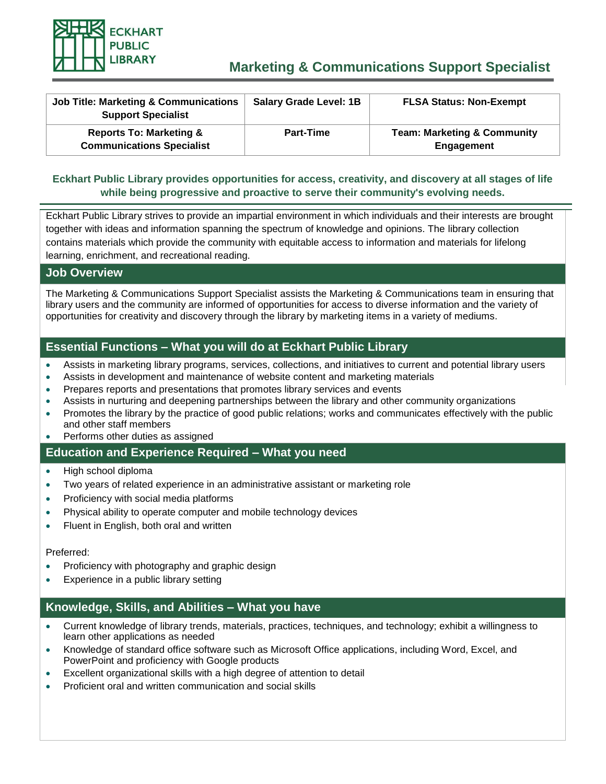

# **Marketing & Communications Support Specialist**

| <b>Job Title: Marketing &amp; Communications</b><br><b>Support Specialist</b> | <b>Salary Grade Level: 1B</b> | <b>FLSA Status: Non-Exempt</b>                       |
|-------------------------------------------------------------------------------|-------------------------------|------------------------------------------------------|
| <b>Reports To: Marketing &amp;</b><br><b>Communications Specialist</b>        | <b>Part-Time</b>              | <b>Team: Marketing &amp; Community</b><br>Engagement |

#### **Eckhart Public Library provides opportunities for access, creativity, and discovery at all stages of life while being progressive and proactive to serve their community's evolving needs.**

Eckhart Public Library strives to provide an impartial environment in which individuals and their interests are brought together with ideas and information spanning the spectrum of knowledge and opinions. The library collection contains materials which provide the community with equitable access to information and materials for lifelong learning, enrichment, and recreational reading.

#### **Job Overview**

The Marketing & Communications Support Specialist assists the Marketing & Communications team in ensuring that library users and the community are informed of opportunities for access to diverse information and the variety of opportunities for creativity and discovery through the library by marketing items in a variety of mediums.

# **Essential Functions – What you will do at Eckhart Public Library**

- Assists in marketing library programs, services, collections, and initiatives to current and potential library users
- Assists in development and maintenance of website content and marketing materials
- Prepares reports and presentations that promotes library services and events
- Assists in nurturing and deepening partnerships between the library and other community organizations
- Promotes the library by the practice of good public relations; works and communicates effectively with the public and other staff members
- Performs other duties as assigned

#### **Education and Experience Required – What you need**

- High school diploma
- Two years of related experience in an administrative assistant or marketing role
- Proficiency with social media platforms
- Physical ability to operate computer and mobile technology devices
- Fluent in English, both oral and written

#### Preferred:

- Proficiency with photography and graphic design
- Experience in a public library setting

# **Knowledge, Skills, and Abilities – What you have**

- Current knowledge of library trends, materials, practices, techniques, and technology; exhibit a willingness to learn other applications as needed
- Knowledge of standard office software such as Microsoft Office applications, including Word, Excel, and PowerPoint and proficiency with Google products
- Excellent organizational skills with a high degree of attention to detail
- Proficient oral and written communication and social skills